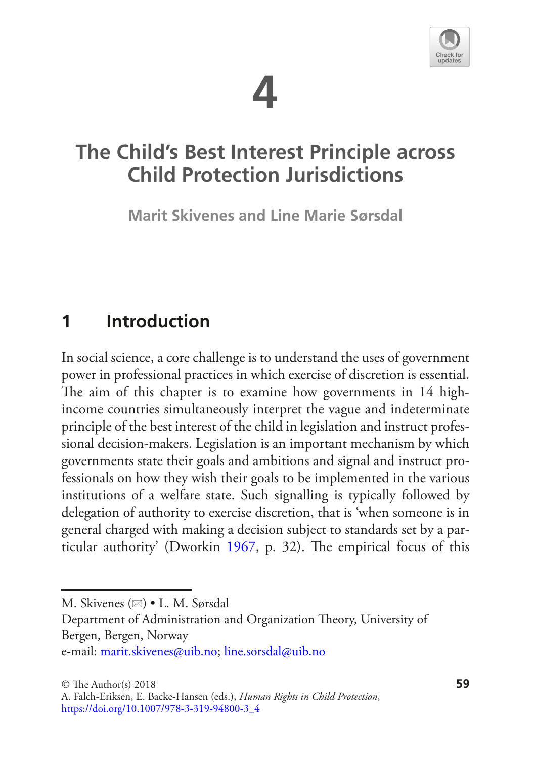# **4**



# **The Child's Best Interest Principle across Child Protection Jurisdictions**

**Marit Skivenes and Line Marie Sørsdal**

# **1 Introduction**

In social science, a core challenge is to understand the uses of government power in professional practices in which exercise of discretion is essential. The aim of this chapter is to examine how governments in 14 highincome countries simultaneously interpret the vague and indeterminate principle of the best interest of the child in legislation and instruct professional decision-makers. Legislation is an important mechanism by which governments state their goals and ambitions and signal and instruct professionals on how they wish their goals to be implemented in the various institutions of a welfare state. Such signalling is typically followed by delegation of authority to exercise discretion, that is 'when someone is in general charged with making a decision subject to standards set by a particular authority' (Dworkin [1967,](#page-26-0) p. 32). The empirical focus of this

M. Skivenes ( $\boxtimes$ ) • L. M. Sørsdal

Department of Administration and Organization Theory, University of Bergen, Bergen, Norway

e-mail[: marit.skivenes@uib.no;](mailto:marit.skivenes@uib.no) [line.sorsdal@uib.no](mailto:line.sorsdal@uib.no)

A. Falch-Eriksen, E. Backe-Hansen (eds.), *Human Rights in Child Protection*, [https://doi.org/10.1007/978-3-319-94800-3\\_4](https://doi.org/10.1007/978-3-319-94800-3_4)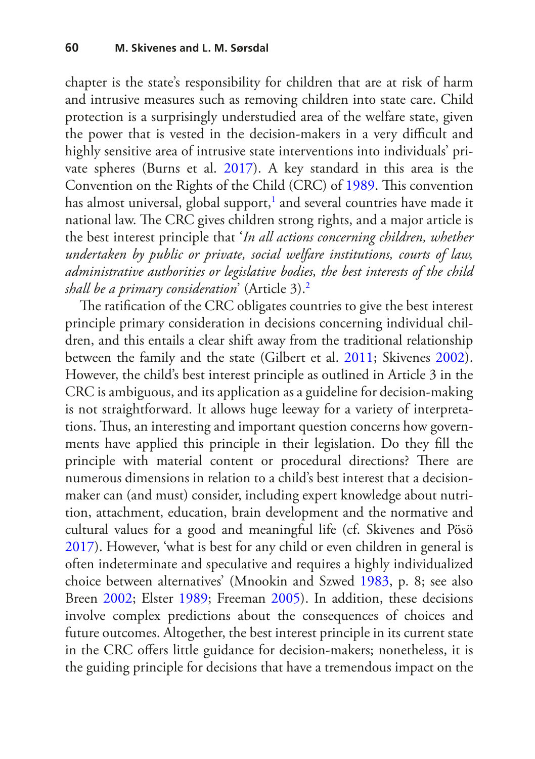chapter is the state's responsibility for children that are at risk of harm and intrusive measures such as removing children into state care. Child protection is a surprisingly understudied area of the welfare state, given the power that is vested in the decision-makers in a very difficult and highly sensitive area of intrusive state interventions into individuals' private spheres (Burns et al. [2017\)](#page-26-1). A key standard in this area is the Convention on the Rights of the Child (CRC) of [1989](#page-29-0). This convention has almost universal, global support,<sup>[1](#page-25-0)</sup> and several countries have made it national law. The CRC gives children strong rights, and a major article is the best interest principle that '*In all actions concerning children, whether undertaken by public or private, social welfare institutions, courts of law, administrative authorities or legislative bodies, the best interests of the child shall be a primary consideration*' (Article 3).[2](#page-25-1)

The ratification of the CRC obligates countries to give the best interest principle primary consideration in decisions concerning individual children, and this entails a clear shift away from the traditional relationship between the family and the state (Gilbert et al. [2011](#page-27-0); Skivenes [2002\)](#page-27-1). However, the child's best interest principle as outlined in Article 3 in the CRC is ambiguous, and its application as a guideline for decision-making is not straightforward. It allows huge leeway for a variety of interpretations. Thus, an interesting and important question concerns how governments have applied this principle in their legislation. Do they fill the principle with material content or procedural directions? There are numerous dimensions in relation to a child's best interest that a decisionmaker can (and must) consider, including expert knowledge about nutrition, attachment, education, brain development and the normative and cultural values for a good and meaningful life (cf. Skivenes and Pösö [2017](#page-27-2)). However, 'what is best for any child or even children in general is often indeterminate and speculative and requires a highly individualized choice between alternatives' (Mnookin and Szwed [1983](#page-27-3), p. 8; see also Breen [2002;](#page-26-2) Elster [1989](#page-26-3); Freeman [2005\)](#page-26-4). In addition, these decisions involve complex predictions about the consequences of choices and future outcomes. Altogether, the best interest principle in its current state in the CRC offers little guidance for decision-makers; nonetheless, it is the guiding principle for decisions that have a tremendous impact on the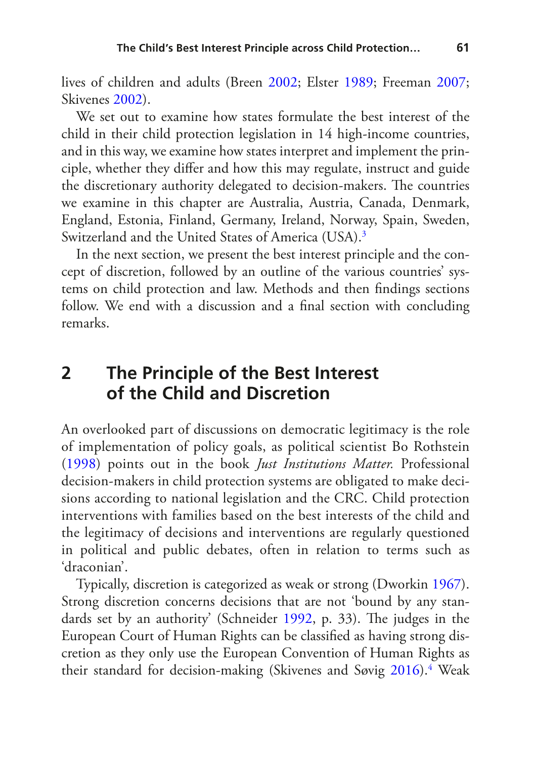lives of children and adults (Breen [2002](#page-26-2); Elster [1989;](#page-26-3) Freeman [2007;](#page-26-5) Skivenes [2002\)](#page-27-1).

We set out to examine how states formulate the best interest of the child in their child protection legislation in 14 high-income countries, and in this way, we examine how states interpret and implement the principle, whether they differ and how this may regulate, instruct and guide the discretionary authority delegated to decision-makers. The countries we examine in this chapter are Australia, Austria, Canada, Denmark, England, Estonia, Finland, Germany, Ireland, Norway, Spain, Sweden, Switzerland and the United States of America (USA).<sup>[3](#page-25-2)</sup>

In the next section, we present the best interest principle and the concept of discretion, followed by an outline of the various countries' systems on child protection and law. Methods and then findings sections follow. We end with a discussion and a final section with concluding remarks.

## **2 The Principle of the Best Interest of the Child and Discretion**

An overlooked part of discussions on democratic legitimacy is the role of implementation of policy goals, as political scientist Bo Rothstein ([1998](#page-27-4)) points out in the book *Just Institutions Matter.* Professional decision-makers in child protection systems are obligated to make decisions according to national legislation and the CRC. Child protection interventions with families based on the best interests of the child and the legitimacy of decisions and interventions are regularly questioned in political and public debates, often in relation to terms such as 'draconian'.

Typically, discretion is categorized as weak or strong (Dworkin [1967\)](#page-26-0). Strong discretion concerns decisions that are not 'bound by any standards set by an authority' (Schneider [1992](#page-27-5), p. 33). The judges in the European Court of Human Rights can be classified as having strong discretion as they only use the European Convention of Human Rights as their standard for decision-making (Skivenes and Søvig [2016](#page-27-6)).<sup>[4](#page-25-3)</sup> Weak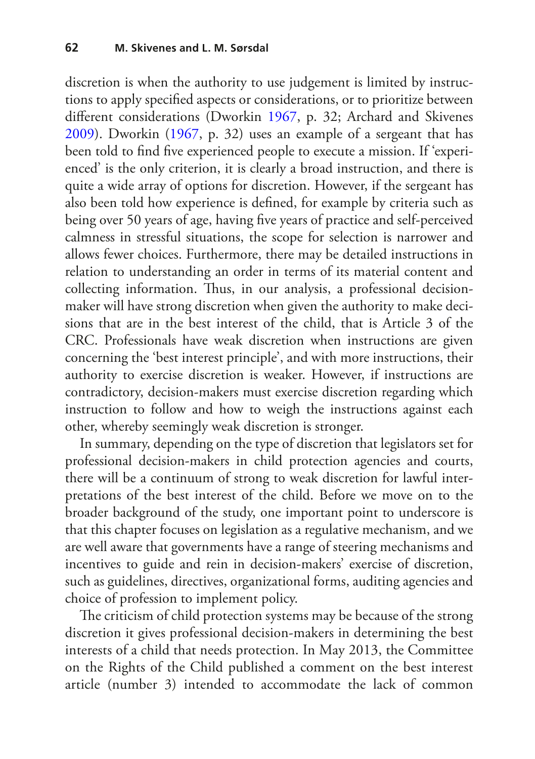discretion is when the authority to use judgement is limited by instructions to apply specified aspects or considerations, or to prioritize between different considerations (Dworkin [1967,](#page-26-0) p. 32; Archard and Skivenes [2009](#page-26-6)). Dworkin [\(1967](#page-26-0), p. 32) uses an example of a sergeant that has been told to find five experienced people to execute a mission. If 'experienced' is the only criterion, it is clearly a broad instruction, and there is quite a wide array of options for discretion. However, if the sergeant has also been told how experience is defined, for example by criteria such as being over 50 years of age, having five years of practice and self-perceived calmness in stressful situations, the scope for selection is narrower and allows fewer choices. Furthermore, there may be detailed instructions in relation to understanding an order in terms of its material content and collecting information. Thus, in our analysis, a professional decisionmaker will have strong discretion when given the authority to make decisions that are in the best interest of the child, that is Article 3 of the CRC. Professionals have weak discretion when instructions are given concerning the 'best interest principle', and with more instructions, their authority to exercise discretion is weaker. However, if instructions are contradictory, decision-makers must exercise discretion regarding which instruction to follow and how to weigh the instructions against each other, whereby seemingly weak discretion is stronger.

In summary, depending on the type of discretion that legislators set for professional decision-makers in child protection agencies and courts, there will be a continuum of strong to weak discretion for lawful interpretations of the best interest of the child. Before we move on to the broader background of the study, one important point to underscore is that this chapter focuses on legislation as a regulative mechanism, and we are well aware that governments have a range of steering mechanisms and incentives to guide and rein in decision-makers' exercise of discretion, such as guidelines, directives, organizational forms, auditing agencies and choice of profession to implement policy.

The criticism of child protection systems may be because of the strong discretion it gives professional decision-makers in determining the best interests of a child that needs protection. In May 2013, the Committee on the Rights of the Child published a comment on the best interest article (number 3) intended to accommodate the lack of common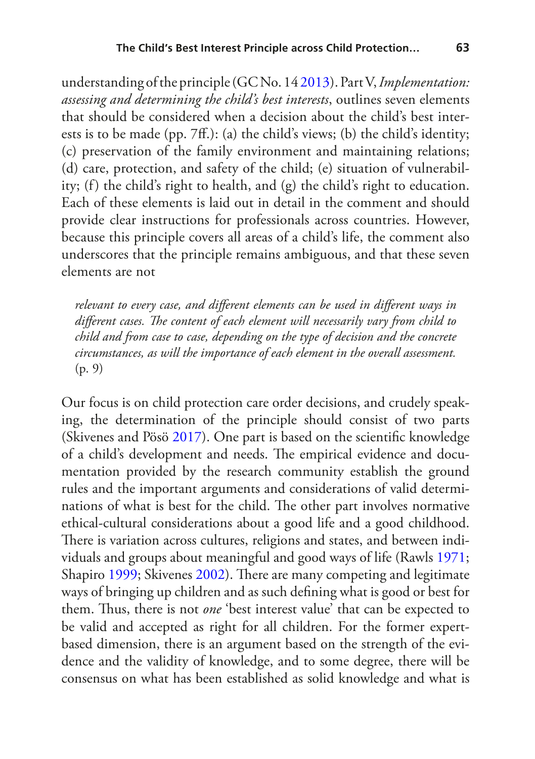understanding of the principle (GC No. 14 [2013\)](#page-29-1). Part V, *Implementation: assessing and determining the child's best interests*, outlines seven elements that should be considered when a decision about the child's best interests is to be made (pp. 7ff.): (a) the child's views; (b) the child's identity; (c) preservation of the family environment and maintaining relations; (d) care, protection, and safety of the child; (e) situation of vulnerability; (f) the child's right to health, and (g) the child's right to education. Each of these elements is laid out in detail in the comment and should provide clear instructions for professionals across countries. However, because this principle covers all areas of a child's life, the comment also underscores that the principle remains ambiguous, and that these seven elements are not

*relevant to every case, and different elements can be used in different ways in different cases. The content of each element will necessarily vary from child to child and from case to case, depending on the type of decision and the concrete circumstances, as will the importance of each element in the overall assessment.* (p. 9)

Our focus is on child protection care order decisions, and crudely speaking, the determination of the principle should consist of two parts (Skivenes and Pösö [2017](#page-27-2)). One part is based on the scientific knowledge of a child's development and needs. The empirical evidence and documentation provided by the research community establish the ground rules and the important arguments and considerations of valid determinations of what is best for the child. The other part involves normative ethical-cultural considerations about a good life and a good childhood. There is variation across cultures, religions and states, and between individuals and groups about meaningful and good ways of life (Rawls [1971;](#page-27-7) Shapiro [1999;](#page-27-8) Skivenes [2002\)](#page-27-1). There are many competing and legitimate ways of bringing up children and as such defining what is good or best for them. Thus, there is not *one* 'best interest value' that can be expected to be valid and accepted as right for all children. For the former expertbased dimension, there is an argument based on the strength of the evidence and the validity of knowledge, and to some degree, there will be consensus on what has been established as solid knowledge and what is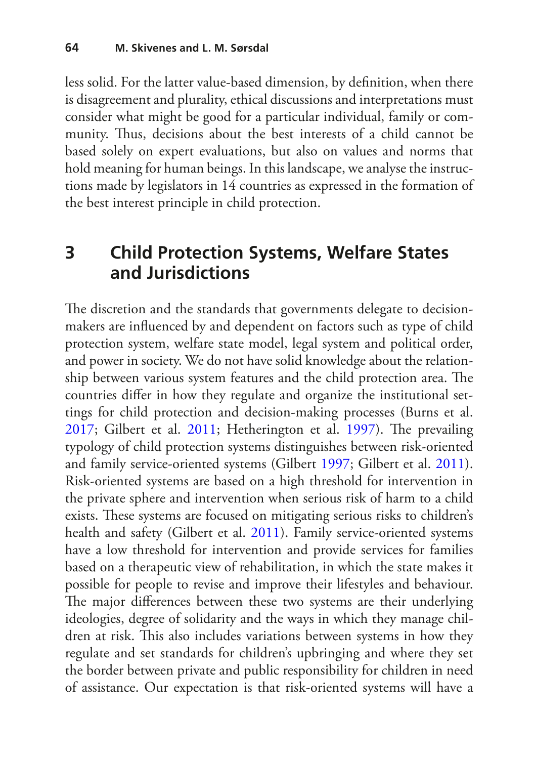less solid. For the latter value-based dimension, by definition, when there is disagreement and plurality, ethical discussions and interpretations must consider what might be good for a particular individual, family or community. Thus, decisions about the best interests of a child cannot be based solely on expert evaluations, but also on values and norms that hold meaning for human beings. In this landscape, we analyse the instructions made by legislators in 14 countries as expressed in the formation of the best interest principle in child protection.

## **3 Child Protection Systems, Welfare States and Jurisdictions**

The discretion and the standards that governments delegate to decisionmakers are influenced by and dependent on factors such as type of child protection system, welfare state model, legal system and political order, and power in society. We do not have solid knowledge about the relationship between various system features and the child protection area. The countries differ in how they regulate and organize the institutional settings for child protection and decision-making processes (Burns et al. [2017](#page-26-1); Gilbert et al. [2011;](#page-27-0) Hetherington et al. [1997\)](#page-27-9). The prevailing typology of child protection systems distinguishes between risk-oriented and family service-oriented systems (Gilbert [1997;](#page-26-7) Gilbert et al. [2011\)](#page-27-0). Risk-oriented systems are based on a high threshold for intervention in the private sphere and intervention when serious risk of harm to a child exists. These systems are focused on mitigating serious risks to children's health and safety (Gilbert et al. [2011\)](#page-27-0). Family service-oriented systems have a low threshold for intervention and provide services for families based on a therapeutic view of rehabilitation, in which the state makes it possible for people to revise and improve their lifestyles and behaviour. The major differences between these two systems are their underlying ideologies, degree of solidarity and the ways in which they manage children at risk. This also includes variations between systems in how they regulate and set standards for children's upbringing and where they set the border between private and public responsibility for children in need of assistance. Our expectation is that risk-oriented systems will have a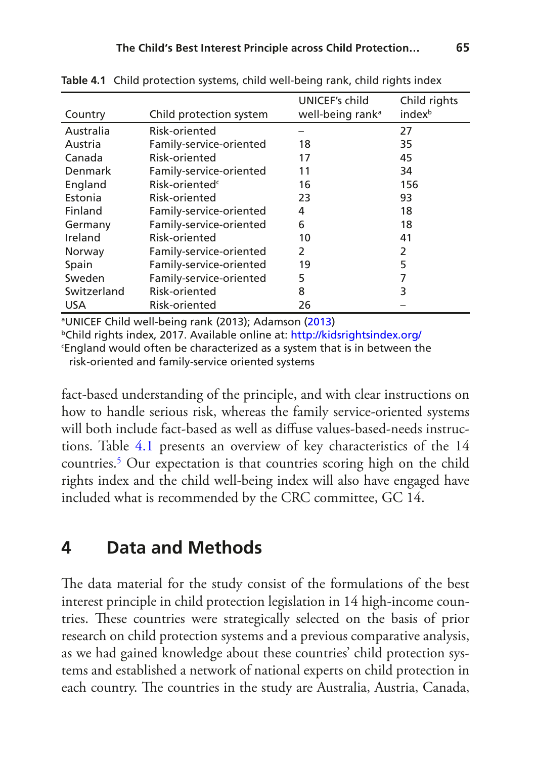| Country     | Child protection system    | UNICEF's child<br>well-being rank <sup>a</sup> | Child rights<br>index <sup>b</sup> |
|-------------|----------------------------|------------------------------------------------|------------------------------------|
| Australia   | Risk-oriented              |                                                | 27                                 |
| Austria     | Family-service-oriented    | 18                                             | 35                                 |
| Canada      | Risk-oriented              | 17                                             | 45                                 |
| Denmark     | Family-service-oriented    | 11                                             | 34                                 |
| England     | Risk-oriented <sup>c</sup> | 16                                             | 156                                |
| Estonia     | Risk-oriented              | 23                                             | 93                                 |
| Finland     | Family-service-oriented    | 4                                              | 18                                 |
| Germany     | Family-service-oriented    | 6                                              | 18                                 |
| Ireland     | Risk-oriented              | 10                                             | 41                                 |
| Norway      | Family-service-oriented    | $\mathcal{P}$                                  | 2                                  |
| Spain       | Family-service-oriented    | 19                                             | 5                                  |
| Sweden      | Family-service-oriented    | 5                                              | 7                                  |
| Switzerland | Risk-oriented              | 8                                              | 3                                  |
| <b>USA</b>  | Risk-oriented              | 26                                             |                                    |

<span id="page-6-0"></span>**Table 4.1** Child protection systems, child well-being rank, child rights index

aUNICEF Child well-being rank (2013); Adamson [\(2013](#page-26-8))

bChild rights index, 2017. Available online at:<http://kidsrightsindex.org/>

c England would often be characterized as a system that is in between the

risk-oriented and family-service oriented systems

fact-based understanding of the principle, and with clear instructions on how to handle serious risk, whereas the family service-oriented systems will both include fact-based as well as diffuse values-based-needs instructions. Table [4.1](#page-6-0) presents an overview of key characteristics of the 14 countries.[5](#page-25-4) Our expectation is that countries scoring high on the child rights index and the child well-being index will also have engaged have included what is recommended by the CRC committee, GC 14.

## **4 Data and Methods**

The data material for the study consist of the formulations of the best interest principle in child protection legislation in 14 high-income countries. These countries were strategically selected on the basis of prior research on child protection systems and a previous comparative analysis, as we had gained knowledge about these countries' child protection systems and established a network of national experts on child protection in each country. The countries in the study are Australia, Austria, Canada,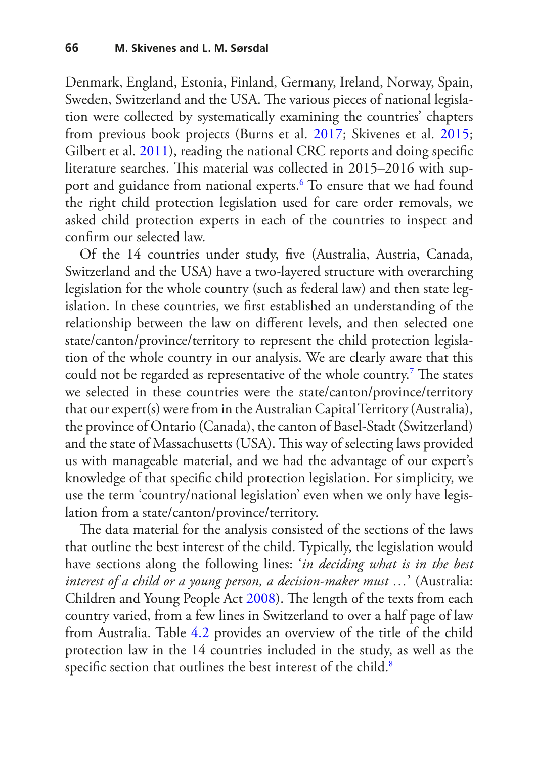Denmark, England, Estonia, Finland, Germany, Ireland, Norway, Spain, Sweden, Switzerland and the USA. The various pieces of national legislation were collected by systematically examining the countries' chapters from previous book projects (Burns et al. [2017;](#page-26-1) Skivenes et al. [2015](#page-27-10); Gilbert et al. [2011](#page-27-0)), reading the national CRC reports and doing specific literature searches. This material was collected in 2015–2016 with sup-port and guidance from national experts.<sup>[6](#page-25-5)</sup> To ensure that we had found the right child protection legislation used for care order removals, we asked child protection experts in each of the countries to inspect and confirm our selected law.

Of the 14 countries under study, five (Australia, Austria, Canada, Switzerland and the USA) have a two-layered structure with overarching legislation for the whole country (such as federal law) and then state legislation. In these countries, we first established an understanding of the relationship between the law on different levels, and then selected one state/canton/province/territory to represent the child protection legislation of the whole country in our analysis. We are clearly aware that this could not be regarded as representative of the whole country.<sup>7</sup> The states we selected in these countries were the state/canton/province/territory that our expert(s) were from in the Australian Capital Territory (Australia), the province of Ontario (Canada), the canton of Basel-Stadt (Switzerland) and the state of Massachusetts (USA). This way of selecting laws provided us with manageable material, and we had the advantage of our expert's knowledge of that specific child protection legislation. For simplicity, we use the term 'country/national legislation' even when we only have legislation from a state/canton/province/territory.

The data material for the analysis consisted of the sections of the laws that outline the best interest of the child. Typically, the legislation would have sections along the following lines: '*in deciding what is in the best interest of a child or a young person, a decision-maker must …*' (Australia: Children and Young People Act [2008](#page-28-0)). The length of the texts from each country varied, from a few lines in Switzerland to over a half page of law from Australia. Table [4.2](#page-8-0) provides an overview of the title of the child protection law in the 14 countries included in the study, as well as the specific section that outlines the best interest of the child.<sup>[8](#page-25-7)</sup>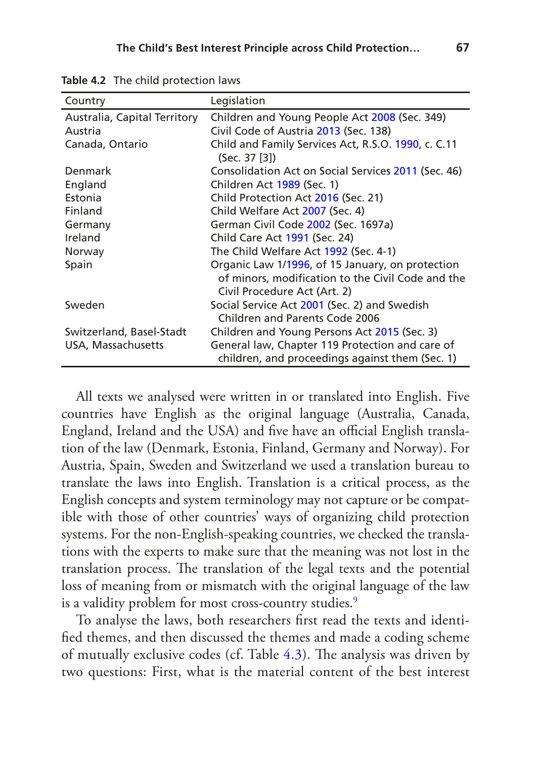| Country                      | Legislation                                                          |
|------------------------------|----------------------------------------------------------------------|
| Australia, Capital Territory | Children and Young People Act 2008 (Sec. 349)                        |
| Austria                      | Civil Code of Austria 2013 (Sec. 138)                                |
| Canada, Ontario              | Child and Family Services Act, R.S.O. 1990, c. C.11<br>(Sec. 37 [3]) |
| Denmark                      | Consolidation Act on Social Services 2011 (Sec. 46)                  |
| England                      | Children Act 1989 (Sec. 1)                                           |
| Estonia                      | Child Protection Act 2016 (Sec. 21)                                  |
| Finland                      | Child Welfare Act 2007 (Sec. 4)                                      |
| Germany                      | German Civil Code 2002 (Sec. 1697a)                                  |
| Ireland                      | Child Care Act 1991 (Sec. 24)                                        |
| Norway                       | The Child Welfare Act 1992 (Sec. 4-1)                                |
| Spain                        | Organic Law 1/1996, of 15 January, on protection                     |
|                              | of minors, modification to the Civil Code and the                    |
|                              | Civil Procedure Act (Art. 2)                                         |
| Sweden                       | Social Service Act 2001 (Sec. 2) and Swedish                         |
|                              | Children and Parents Code 2006                                       |
| Switzerland, Basel-Stadt     | Children and Young Persons Act 2015 (Sec. 3)                         |
| USA, Massachusetts           | General law, Chapter 119 Protection and care of                      |
|                              | children, and proceedings against them (Sec. 1)                      |

<span id="page-8-0"></span>**Table 4.2** The child protection laws

All texts we analysed were written in or translated into English. Five countries have English as the original language (Australia, Canada, England, Ireland and the USA) and five have an official English translation of the law (Denmark, Estonia, Finland, Germany and Norway). For Austria, Spain, Sweden and Switzerland we used a translation bureau to translate the laws into English. Translation is a critical process, as the English concepts and system terminology may not capture or be compatible with those of other countries' ways of organizing child protection systems. For the non-English-speaking countries, we checked the translations with the experts to make sure that the meaning was not lost in the translation process. The translation of the legal texts and the potential loss of meaning from or mismatch with the original language of the law is a validity problem for most cross-country studies.<sup>9</sup>

To analyse the laws, both researchers first read the texts and identified themes, and then discussed the themes and made a coding scheme of mutually exclusive codes (cf. Table [4.3](#page-9-0)). The analysis was driven by two questions: First, what is the material content of the best interest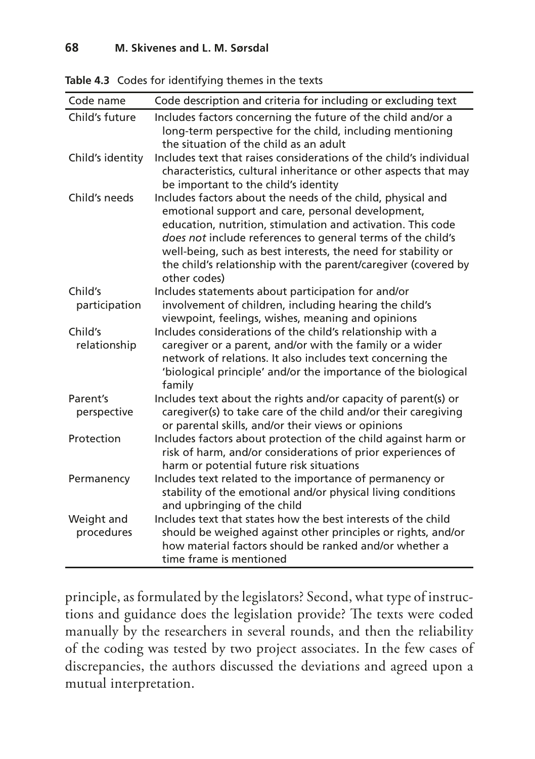| Code name                | Code description and criteria for including or excluding text                                                                                                                                                                                                                                                                                                                                     |
|--------------------------|---------------------------------------------------------------------------------------------------------------------------------------------------------------------------------------------------------------------------------------------------------------------------------------------------------------------------------------------------------------------------------------------------|
| Child's future           | Includes factors concerning the future of the child and/or a<br>long-term perspective for the child, including mentioning<br>the situation of the child as an adult                                                                                                                                                                                                                               |
| Child's identity         | Includes text that raises considerations of the child's individual<br>characteristics, cultural inheritance or other aspects that may<br>be important to the child's identity                                                                                                                                                                                                                     |
| Child's needs            | Includes factors about the needs of the child, physical and<br>emotional support and care, personal development,<br>education, nutrition, stimulation and activation. This code<br>does not include references to general terms of the child's<br>well-being, such as best interests, the need for stability or<br>the child's relationship with the parent/caregiver (covered by<br>other codes) |
| Child's<br>participation | Includes statements about participation for and/or<br>involvement of children, including hearing the child's<br>viewpoint, feelings, wishes, meaning and opinions                                                                                                                                                                                                                                 |
| Child's<br>relationship  | Includes considerations of the child's relationship with a<br>caregiver or a parent, and/or with the family or a wider<br>network of relations. It also includes text concerning the<br>'biological principle' and/or the importance of the biological<br>family                                                                                                                                  |
| Parent's<br>perspective  | Includes text about the rights and/or capacity of parent(s) or<br>caregiver(s) to take care of the child and/or their caregiving<br>or parental skills, and/or their views or opinions                                                                                                                                                                                                            |
| Protection               | Includes factors about protection of the child against harm or<br>risk of harm, and/or considerations of prior experiences of<br>harm or potential future risk situations                                                                                                                                                                                                                         |
| Permanency               | Includes text related to the importance of permanency or<br>stability of the emotional and/or physical living conditions<br>and upbringing of the child                                                                                                                                                                                                                                           |
| Weight and<br>procedures | Includes text that states how the best interests of the child<br>should be weighed against other principles or rights, and/or<br>how material factors should be ranked and/or whether a<br>time frame is mentioned                                                                                                                                                                                |

<span id="page-9-0"></span>**Table 4.3** Codes for identifying themes in the texts

principle, as formulated by the legislators? Second, what type of instructions and guidance does the legislation provide? The texts were coded manually by the researchers in several rounds, and then the reliability of the coding was tested by two project associates. In the few cases of discrepancies, the authors discussed the deviations and agreed upon a mutual interpretation.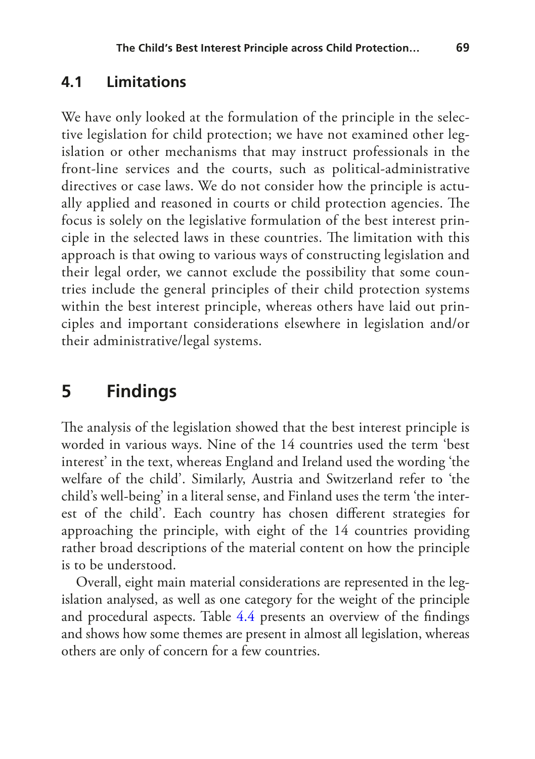#### **4.1 Limitations**

We have only looked at the formulation of the principle in the selective legislation for child protection; we have not examined other legislation or other mechanisms that may instruct professionals in the front-line services and the courts, such as political-administrative directives or case laws. We do not consider how the principle is actually applied and reasoned in courts or child protection agencies. The focus is solely on the legislative formulation of the best interest principle in the selected laws in these countries. The limitation with this approach is that owing to various ways of constructing legislation and their legal order, we cannot exclude the possibility that some countries include the general principles of their child protection systems within the best interest principle, whereas others have laid out principles and important considerations elsewhere in legislation and/or their administrative/legal systems.

#### **5 Findings**

The analysis of the legislation showed that the best interest principle is worded in various ways. Nine of the 14 countries used the term 'best interest' in the text, whereas England and Ireland used the wording 'the welfare of the child'. Similarly, Austria and Switzerland refer to 'the child's well-being' in a literal sense, and Finland uses the term 'the interest of the child'. Each country has chosen different strategies for approaching the principle, with eight of the 14 countries providing rather broad descriptions of the material content on how the principle is to be understood.

Overall, eight main material considerations are represented in the legislation analysed, as well as one category for the weight of the principle and procedural aspects. Table [4.4](#page-11-0) presents an overview of the findings and shows how some themes are present in almost all legislation, whereas others are only of concern for a few countries.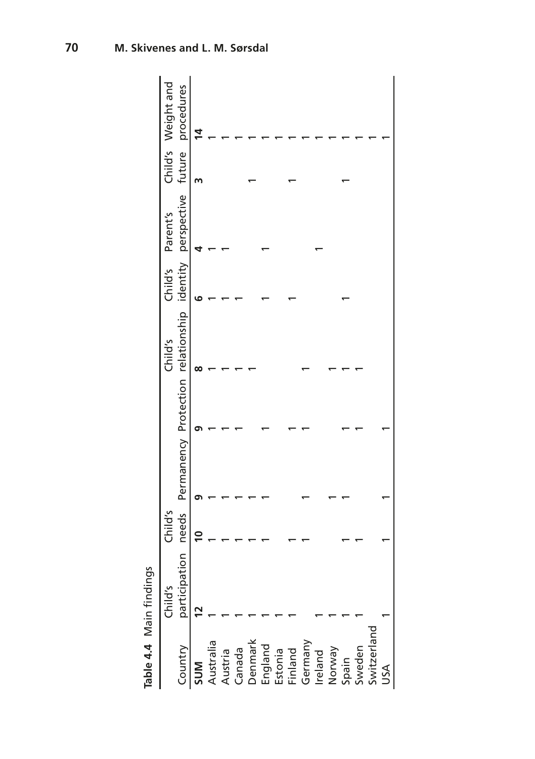<span id="page-11-0"></span>

| Table 4.4 Main findings |                                                                                               |             |  |         |                  |                    |
|-------------------------|-----------------------------------------------------------------------------------------------|-------------|--|---------|------------------|--------------------|
|                         | Child's                                                                                       | Child's     |  | Child's | Child's Parent's | Child's Weight and |
| Country                 | participation needs Permanency Protection relationship identity perspective future procedures |             |  |         |                  |                    |
| <b>NINS</b>             |                                                                                               | $\tilde{=}$ |  |         |                  | 4                  |
| Australia               |                                                                                               |             |  |         |                  |                    |
| Austria                 |                                                                                               |             |  |         |                  |                    |
| Canada                  |                                                                                               |             |  |         |                  |                    |
| Denmark                 |                                                                                               |             |  |         |                  |                    |
| England                 |                                                                                               |             |  |         |                  |                    |
| Estonia                 |                                                                                               |             |  |         |                  |                    |
| Finland                 |                                                                                               |             |  |         |                  |                    |
| Germany                 |                                                                                               |             |  |         |                  |                    |
| Ireland                 |                                                                                               |             |  |         |                  |                    |
| Norway                  |                                                                                               |             |  |         |                  |                    |
| Spain                   |                                                                                               |             |  |         |                  |                    |
| Sweden                  |                                                                                               |             |  |         |                  |                    |
| Switzerland             |                                                                                               |             |  |         |                  |                    |
| USA                     |                                                                                               |             |  |         |                  |                    |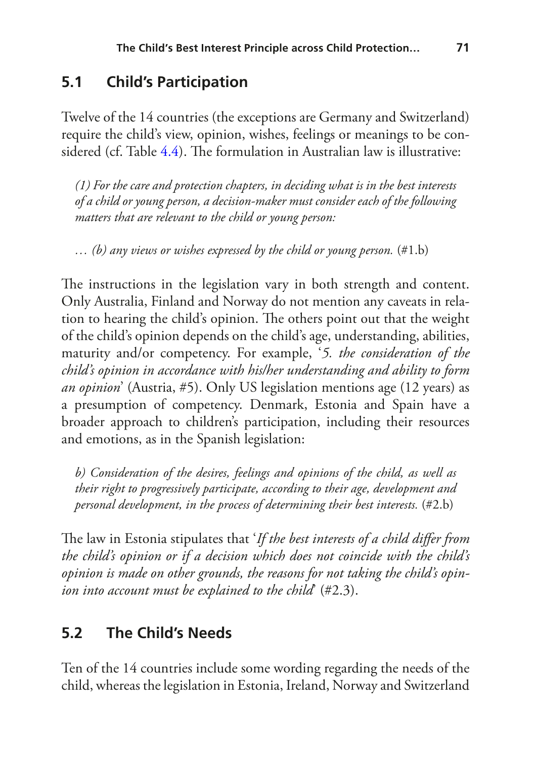#### **5.1 Child's Participation**

Twelve of the 14 countries (the exceptions are Germany and Switzerland) require the child's view, opinion, wishes, feelings or meanings to be considered (cf. Table [4.4](#page-11-0)). The formulation in Australian law is illustrative:

*(1) For the care and protection chapters, in deciding what is in the best interests of a child or young person, a decision-maker must consider each of the following matters that are relevant to the child or young person:*

*… (b) any views or wishes expressed by the child or young person.* (#1.b)

The instructions in the legislation vary in both strength and content. Only Australia, Finland and Norway do not mention any caveats in relation to hearing the child's opinion. The others point out that the weight of the child's opinion depends on the child's age, understanding, abilities, maturity and/or competency. For example, '*5. the consideration of the child's opinion in accordance with his/her understanding and ability to form an opinion*' (Austria, #5). Only US legislation mentions age (12 years) as a presumption of competency. Denmark, Estonia and Spain have a broader approach to children's participation, including their resources and emotions, as in the Spanish legislation:

*b) Consideration of the desires, feelings and opinions of the child, as well as their right to progressively participate, according to their age, development and personal development, in the process of determining their best interests.* (#2.b)

The law in Estonia stipulates that '*If the best interests of a child differ from the child's opinion or if a decision which does not coincide with the child's opinion is made on other grounds, the reasons for not taking the child's opinion into account must be explained to the child*' (#2.3).

#### **5.2 The Child's Needs**

Ten of the 14 countries include some wording regarding the needs of the child, whereas the legislation in Estonia, Ireland, Norway and Switzerland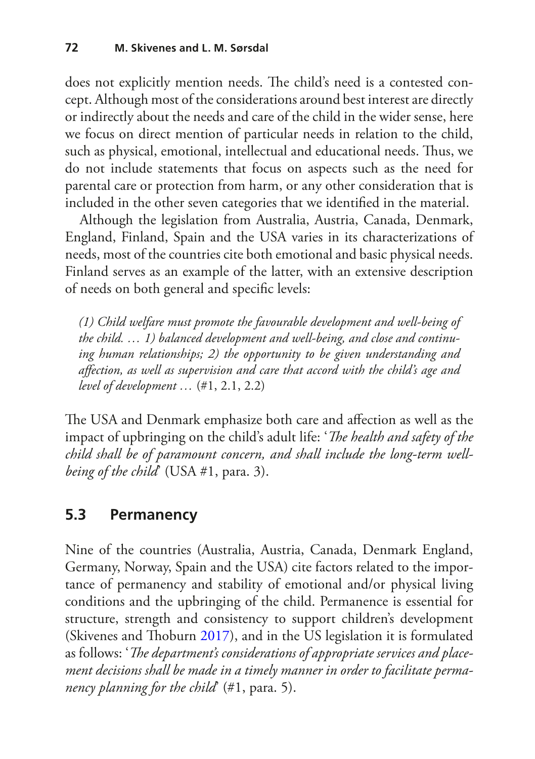does not explicitly mention needs. The child's need is a contested concept. Although most of the considerations around best interest are directly or indirectly about the needs and care of the child in the wider sense, here we focus on direct mention of particular needs in relation to the child, such as physical, emotional, intellectual and educational needs. Thus, we do not include statements that focus on aspects such as the need for parental care or protection from harm, or any other consideration that is included in the other seven categories that we identified in the material.

Although the legislation from Australia, Austria, Canada, Denmark, England, Finland, Spain and the USA varies in its characterizations of needs, most of the countries cite both emotional and basic physical needs. Finland serves as an example of the latter, with an extensive description of needs on both general and specific levels:

*(1) Child welfare must promote the favourable development and well-being of the child. … 1) balanced development and well-being, and close and continuing human relationships; 2) the opportunity to be given understanding and affection, as well as supervision and care that accord with the child's age and level of development …* (#1, 2.1, 2.2)

The USA and Denmark emphasize both care and affection as well as the impact of upbringing on the child's adult life: '*The health and safety of the child shall be of paramount concern, and shall include the long-term wellbeing of the child*' (USA #1, para. 3).

#### **5.3 Permanency**

Nine of the countries (Australia, Austria, Canada, Denmark England, Germany, Norway, Spain and the USA) cite factors related to the importance of permanency and stability of emotional and/or physical living conditions and the upbringing of the child. Permanence is essential for structure, strength and consistency to support children's development (Skivenes and Thoburn [2017](#page-27-11)), and in the US legislation it is formulated as follows: '*The department's considerations of appropriate services and placement decisions shall be made in a timely manner in order to facilitate permanency planning for the child*' (#1, para. 5).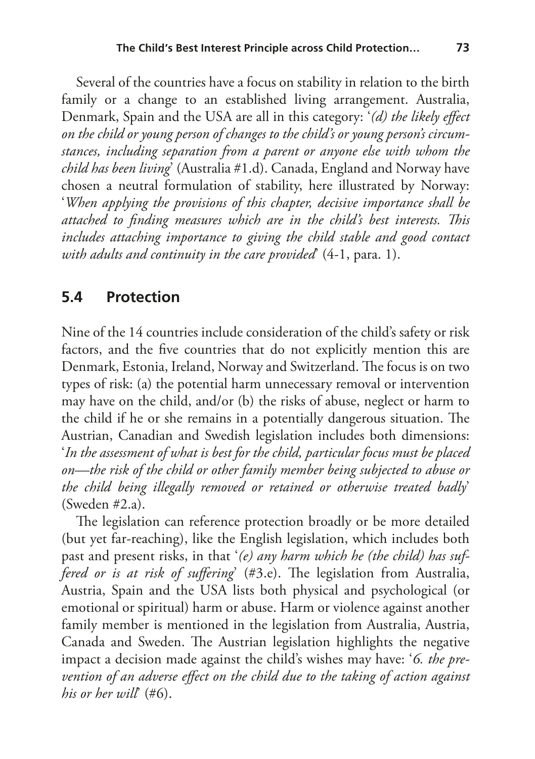Several of the countries have a focus on stability in relation to the birth family or a change to an established living arrangement. Australia, Denmark, Spain and the USA are all in this category: '*(d) the likely effect on the child or young person of changes to the child's or young person's circumstances, including separation from a parent or anyone else with whom the child has been living*' (Australia #1.d). Canada, England and Norway have chosen a neutral formulation of stability, here illustrated by Norway: '*When applying the provisions of this chapter, decisive importance shall be attached to finding measures which are in the child's best interests. This includes attaching importance to giving the child stable and good contact with adults and continuity in the care provided*' (4-1, para. 1).

#### **5.4 Protection**

Nine of the 14 countries include consideration of the child's safety or risk factors, and the five countries that do not explicitly mention this are Denmark, Estonia, Ireland, Norway and Switzerland. The focus is on two types of risk: (a) the potential harm unnecessary removal or intervention may have on the child, and/or (b) the risks of abuse, neglect or harm to the child if he or she remains in a potentially dangerous situation. The Austrian, Canadian and Swedish legislation includes both dimensions: '*In the assessment of what is best for the child, particular focus must be placed on—the risk of the child or other family member being subjected to abuse or the child being illegally removed or retained or otherwise treated badly*' (Sweden #2.a).

The legislation can reference protection broadly or be more detailed (but yet far-reaching), like the English legislation, which includes both past and present risks, in that '*(e) any harm which he (the child) has suffered or is at risk of suffering*' (#3.e). The legislation from Australia, Austria, Spain and the USA lists both physical and psychological (or emotional or spiritual) harm or abuse. Harm or violence against another family member is mentioned in the legislation from Australia, Austria, Canada and Sweden. The Austrian legislation highlights the negative impact a decision made against the child's wishes may have: '*6. the prevention of an adverse effect on the child due to the taking of action against his or her will*' (#6).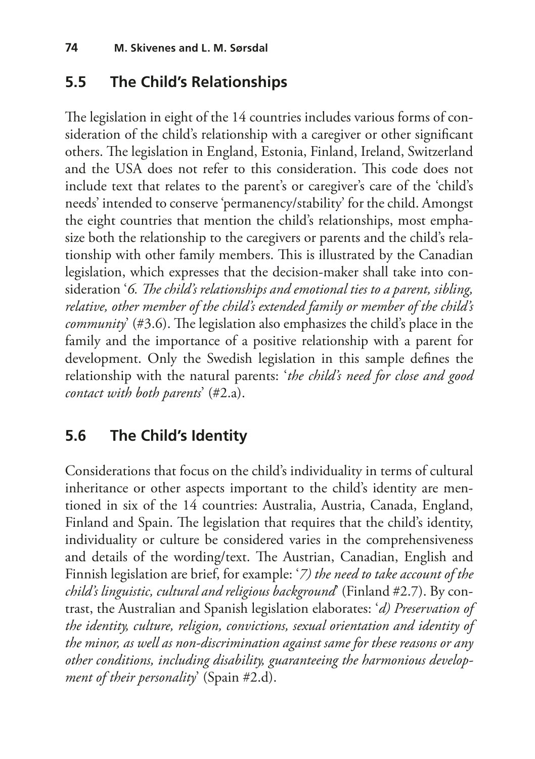#### **5.5 The Child's Relationships**

The legislation in eight of the 14 countries includes various forms of consideration of the child's relationship with a caregiver or other significant others. The legislation in England, Estonia, Finland, Ireland, Switzerland and the USA does not refer to this consideration. This code does not include text that relates to the parent's or caregiver's care of the 'child's needs' intended to conserve 'permanency/stability' for the child. Amongst the eight countries that mention the child's relationships, most emphasize both the relationship to the caregivers or parents and the child's relationship with other family members. This is illustrated by the Canadian legislation, which expresses that the decision-maker shall take into consideration '*6. The child's relationships and emotional ties to a parent, sibling, relative, other member of the child's extended family or member of the child's community*' (#3.6). The legislation also emphasizes the child's place in the family and the importance of a positive relationship with a parent for development. Only the Swedish legislation in this sample defines the relationship with the natural parents: '*the child's need for close and good contact with both parents*' (#2.a).

#### **5.6 The Child's Identity**

Considerations that focus on the child's individuality in terms of cultural inheritance or other aspects important to the child's identity are mentioned in six of the 14 countries: Australia, Austria, Canada, England, Finland and Spain. The legislation that requires that the child's identity, individuality or culture be considered varies in the comprehensiveness and details of the wording/text. The Austrian, Canadian, English and Finnish legislation are brief, for example: '*7) the need to take account of the child's linguistic, cultural and religious background*' (Finland #2.7). By contrast, the Australian and Spanish legislation elaborates: '*d) Preservation of the identity, culture, religion, convictions, sexual orientation and identity of the minor, as well as non-discrimination against same for these reasons or any other conditions, including disability, guaranteeing the harmonious development of their personality*' (Spain #2.d).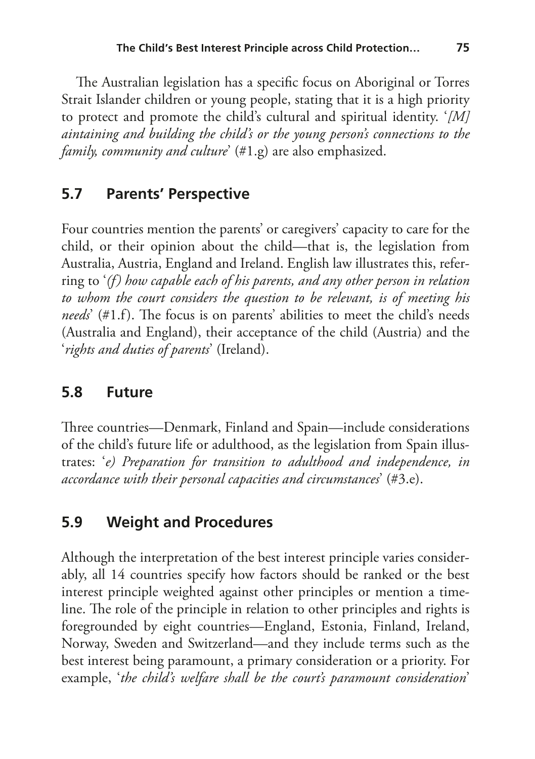The Australian legislation has a specific focus on Aboriginal or Torres Strait Islander children or young people, stating that it is a high priority to protect and promote the child's cultural and spiritual identity. '*[M] aintaining and building the child's or the young person's connections to the family, community and culture*' (#1.g) are also emphasized.

#### **5.7 Parents' Perspective**

Four countries mention the parents' or caregivers' capacity to care for the child, or their opinion about the child—that is, the legislation from Australia, Austria, England and Ireland. English law illustrates this, referring to '*(f) how capable each of his parents, and any other person in relation to whom the court considers the question to be relevant, is of meeting his needs*' (#1.f). The focus is on parents' abilities to meet the child's needs (Australia and England), their acceptance of the child (Austria) and the '*rights and duties of parents*' (Ireland).

#### **5.8 Future**

Three countries—Denmark, Finland and Spain—include considerations of the child's future life or adulthood, as the legislation from Spain illustrates: '*e) Preparation for transition to adulthood and independence, in accordance with their personal capacities and circumstances*' (#3.e).

#### **5.9 Weight and Procedures**

Although the interpretation of the best interest principle varies considerably, all 14 countries specify how factors should be ranked or the best interest principle weighted against other principles or mention a timeline. The role of the principle in relation to other principles and rights is foregrounded by eight countries—England, Estonia, Finland, Ireland, Norway, Sweden and Switzerland—and they include terms such as the best interest being paramount, a primary consideration or a priority. For example, '*the child's welfare shall be the court's paramount consideration*'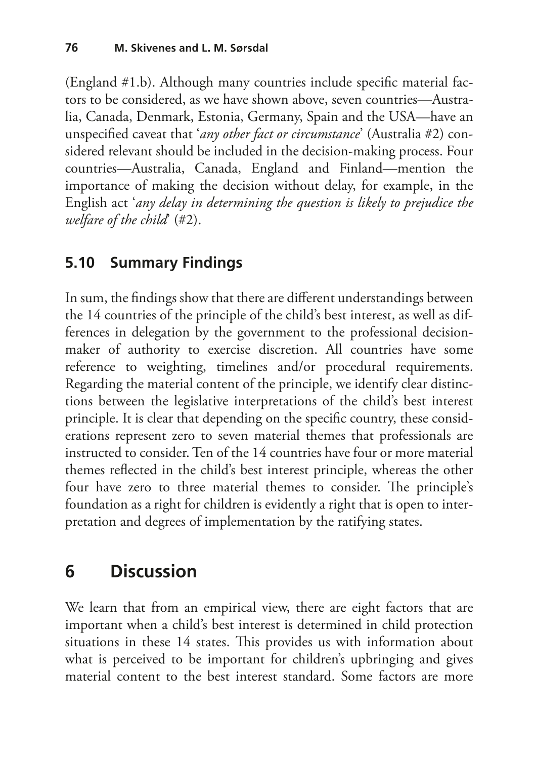(England #1.b). Although many countries include specific material factors to be considered, as we have shown above, seven countries—Australia, Canada, Denmark, Estonia, Germany, Spain and the USA—have an unspecified caveat that '*any other fact or circumstance*' (Australia #2) considered relevant should be included in the decision-making process. Four countries—Australia, Canada, England and Finland—mention the importance of making the decision without delay, for example, in the English act '*any delay in determining the question is likely to prejudice the welfare of the child*' (#2).

#### **5.10 Summary Findings**

In sum, the findings show that there are different understandings between the 14 countries of the principle of the child's best interest, as well as differences in delegation by the government to the professional decisionmaker of authority to exercise discretion. All countries have some reference to weighting, timelines and/or procedural requirements. Regarding the material content of the principle, we identify clear distinctions between the legislative interpretations of the child's best interest principle. It is clear that depending on the specific country, these considerations represent zero to seven material themes that professionals are instructed to consider. Ten of the 14 countries have four or more material themes reflected in the child's best interest principle, whereas the other four have zero to three material themes to consider. The principle's foundation as a right for children is evidently a right that is open to interpretation and degrees of implementation by the ratifying states.

# **6 Discussion**

We learn that from an empirical view, there are eight factors that are important when a child's best interest is determined in child protection situations in these 14 states. This provides us with information about what is perceived to be important for children's upbringing and gives material content to the best interest standard. Some factors are more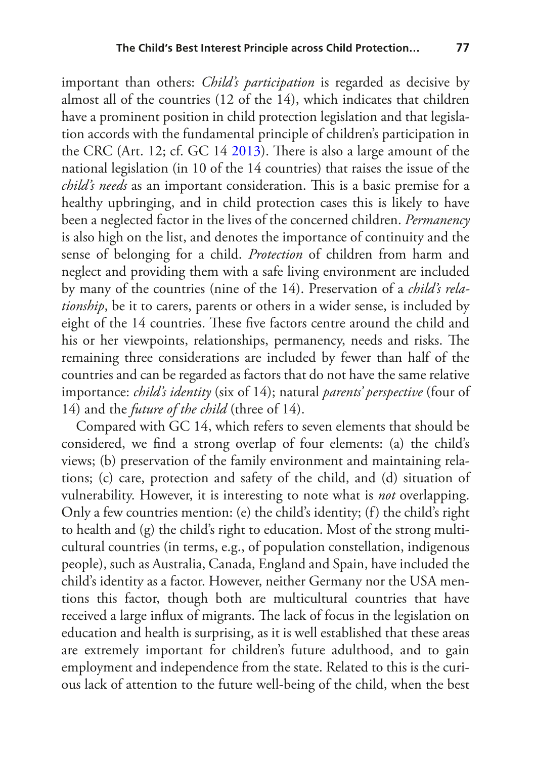important than others: *Child's participation* is regarded as decisive by almost all of the countries (12 of the 14), which indicates that children have a prominent position in child protection legislation and that legislation accords with the fundamental principle of children's participation in the CRC (Art. 12; cf. GC 14 [2013\)](#page-29-1). There is also a large amount of the national legislation (in 10 of the 14 countries) that raises the issue of the *child's needs* as an important consideration. This is a basic premise for a healthy upbringing, and in child protection cases this is likely to have been a neglected factor in the lives of the concerned children. *Permanency* is also high on the list, and denotes the importance of continuity and the sense of belonging for a child. *Protection* of children from harm and neglect and providing them with a safe living environment are included by many of the countries (nine of the 14). Preservation of a *child's relationship*, be it to carers, parents or others in a wider sense, is included by eight of the 14 countries. These five factors centre around the child and his or her viewpoints, relationships, permanency, needs and risks. The remaining three considerations are included by fewer than half of the countries and can be regarded as factors that do not have the same relative importance: *child's identity* (six of 14); natural *parents' perspective* (four of 14) and the *future of the child* (three of 14).

Compared with GC 14, which refers to seven elements that should be considered, we find a strong overlap of four elements: (a) the child's views; (b) preservation of the family environment and maintaining relations; (c) care, protection and safety of the child, and (d) situation of vulnerability. However, it is interesting to note what is *not* overlapping. Only a few countries mention: (e) the child's identity; (f) the child's right to health and (g) the child's right to education. Most of the strong multicultural countries (in terms, e.g., of population constellation, indigenous people), such as Australia, Canada, England and Spain, have included the child's identity as a factor. However, neither Germany nor the USA mentions this factor, though both are multicultural countries that have received a large influx of migrants. The lack of focus in the legislation on education and health is surprising, as it is well established that these areas are extremely important for children's future adulthood, and to gain employment and independence from the state. Related to this is the curious lack of attention to the future well-being of the child, when the best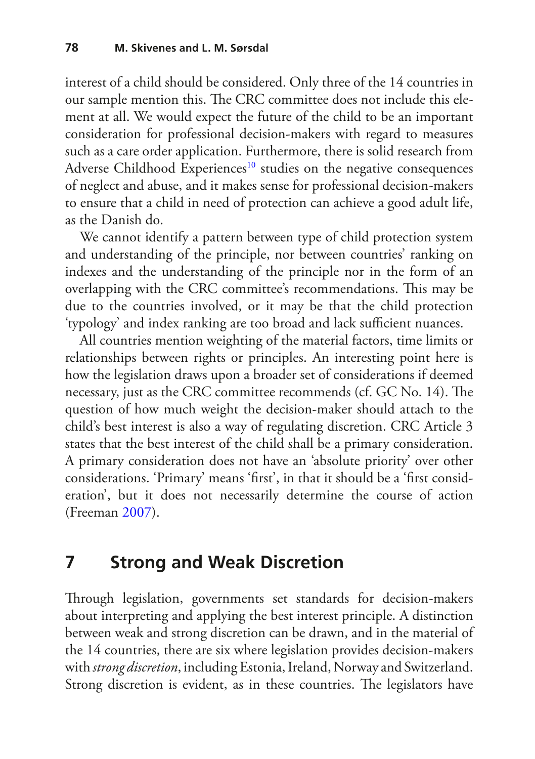interest of a child should be considered. Only three of the 14 countries in our sample mention this. The CRC committee does not include this element at all. We would expect the future of the child to be an important consideration for professional decision-makers with regard to measures such as a care order application. Furthermore, there is solid research from Adverse Childhood Experiences<sup>10</sup> studies on the negative consequences of neglect and abuse, and it makes sense for professional decision-makers to ensure that a child in need of protection can achieve a good adult life, as the Danish do.

We cannot identify a pattern between type of child protection system and understanding of the principle, nor between countries' ranking on indexes and the understanding of the principle nor in the form of an overlapping with the CRC committee's recommendations. This may be due to the countries involved, or it may be that the child protection 'typology' and index ranking are too broad and lack sufficient nuances.

All countries mention weighting of the material factors, time limits or relationships between rights or principles. An interesting point here is how the legislation draws upon a broader set of considerations if deemed necessary, just as the CRC committee recommends (cf. GC No. 14). The question of how much weight the decision-maker should attach to the child's best interest is also a way of regulating discretion. CRC Article 3 states that the best interest of the child shall be a primary consideration. A primary consideration does not have an 'absolute priority' over other considerations. 'Primary' means 'first', in that it should be a 'first consideration', but it does not necessarily determine the course of action (Freeman [2007\)](#page-26-5).

## **7 Strong and Weak Discretion**

Through legislation, governments set standards for decision-makers about interpreting and applying the best interest principle. A distinction between weak and strong discretion can be drawn, and in the material of the 14 countries, there are six where legislation provides decision-makers with *strong discretion*, including Estonia, Ireland, Norway and Switzerland. Strong discretion is evident, as in these countries. The legislators have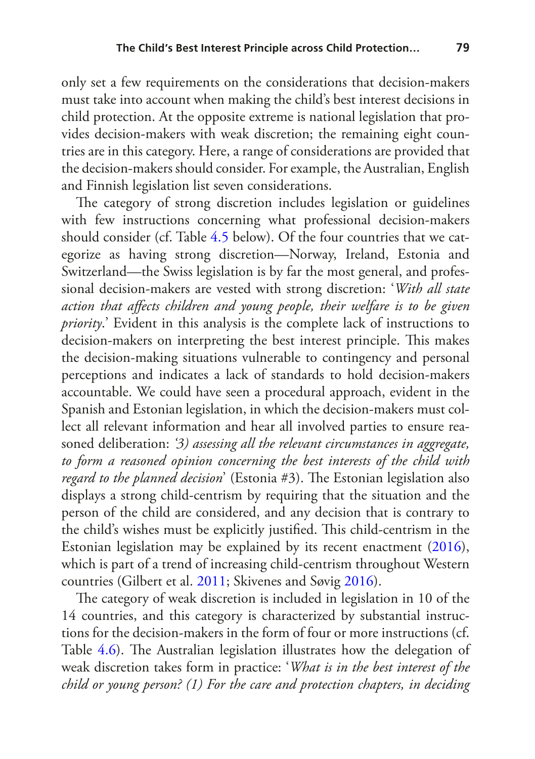only set a few requirements on the considerations that decision-makers must take into account when making the child's best interest decisions in child protection. At the opposite extreme is national legislation that provides decision-makers with weak discretion; the remaining eight countries are in this category. Here, a range of considerations are provided that the decision-makers should consider. For example, the Australian, English and Finnish legislation list seven considerations.

The category of strong discretion includes legislation or guidelines with few instructions concerning what professional decision-makers should consider (cf. Table [4.5](#page-21-0) below). Of the four countries that we categorize as having strong discretion—Norway, Ireland, Estonia and Switzerland—the Swiss legislation is by far the most general, and professional decision-makers are vested with strong discretion: '*With all state action that affects children and young people, their welfare is to be given priority*.' Evident in this analysis is the complete lack of instructions to decision-makers on interpreting the best interest principle. This makes the decision-making situations vulnerable to contingency and personal perceptions and indicates a lack of standards to hold decision-makers accountable. We could have seen a procedural approach, evident in the Spanish and Estonian legislation, in which the decision-makers must collect all relevant information and hear all involved parties to ensure reasoned deliberation: *'3) assessing all the relevant circumstances in aggregate, to form a reasoned opinion concerning the best interests of the child with regard to the planned decision*' (Estonia #3). The Estonian legislation also displays a strong child-centrism by requiring that the situation and the person of the child are considered, and any decision that is contrary to the child's wishes must be explicitly justified. This child-centrism in the Estonian legislation may be explained by its recent enactment ([2016\)](#page-26-11), which is part of a trend of increasing child-centrism throughout Western countries (Gilbert et al. [2011](#page-27-0); Skivenes and Søvig [2016](#page-27-6)).

The category of weak discretion is included in legislation in 10 of the 14 countries, and this category is characterized by substantial instructions for the decision-makers in the form of four or more instructions (cf. Table [4.6](#page-22-0)). The Australian legislation illustrates how the delegation of weak discretion takes form in practice: '*What is in the best interest of the child or young person? (1) For the care and protection chapters, in deciding*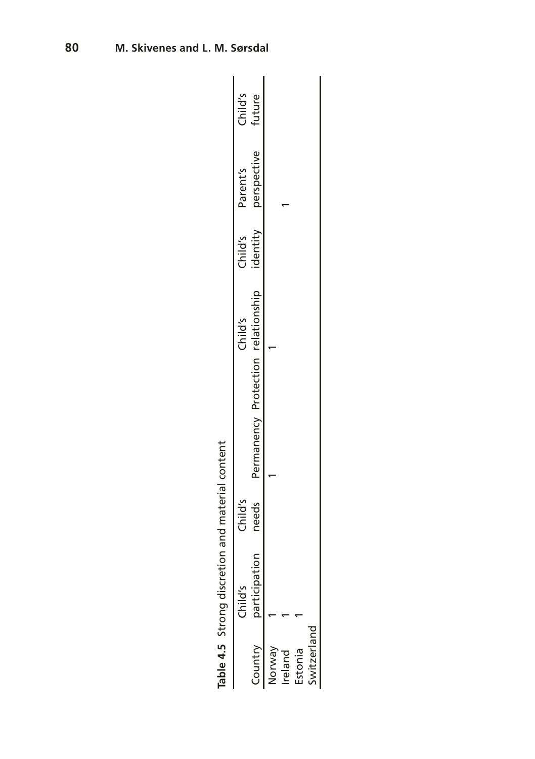|             | Table 4.5 Strong discretion and material content                            |         |  |         |                  |         |
|-------------|-----------------------------------------------------------------------------|---------|--|---------|------------------|---------|
|             | Child's                                                                     | Child's |  | Child's | Child's Parent's | Child's |
| Country     | participation needs Permanency Protection relationship identity perspective |         |  |         |                  | future  |
| Norway      |                                                                             |         |  |         |                  |         |
| reland      |                                                                             |         |  |         |                  |         |
| Estonia     |                                                                             |         |  |         |                  |         |
| Switzerland |                                                                             |         |  |         |                  |         |
|             |                                                                             |         |  |         |                  |         |

<span id="page-21-0"></span>

| i            |               |   |
|--------------|---------------|---|
|              |               |   |
|              |               |   |
| å            |               |   |
|              |               |   |
|              |               |   |
|              |               |   |
|              |               |   |
| $\mathbf{r}$ | $\frac{3}{2}$ |   |
| こうしょう        |               |   |
|              |               |   |
|              |               |   |
|              |               |   |
|              |               |   |
|              |               |   |
|              |               |   |
| t            |               |   |
| ă            |               |   |
|              |               |   |
|              |               |   |
| Ś            |               |   |
|              |               |   |
|              | !             |   |
| į            |               |   |
| ł<br>Ï       |               |   |
|              |               |   |
|              |               |   |
| š            |               |   |
|              | )<br>5<br>5   |   |
|              |               |   |
|              |               |   |
| Č            |               | ١ |
|              |               |   |
| å            |               |   |
|              | $\frac{1}{2}$ |   |
|              |               |   |
|              |               |   |
| í            |               |   |
|              |               |   |
| ı            |               |   |
|              |               |   |
|              | !             |   |
|              |               |   |
|              |               |   |
|              |               |   |
|              |               |   |
|              |               |   |
| ı            |               |   |
|              |               |   |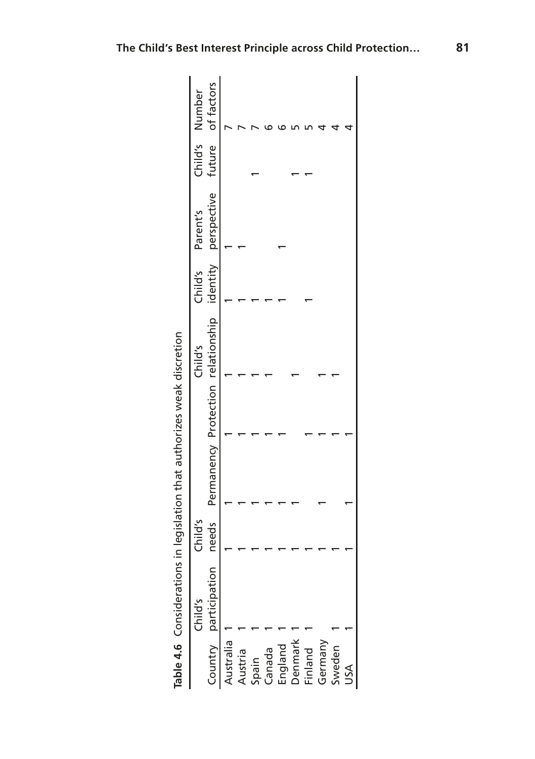<span id="page-22-0"></span>

| ້<br>-<br>}<br>=                                 |  |
|--------------------------------------------------|--|
|                                                  |  |
| )<br>)<br>)<br>)<br>)<br>)<br>)<br><br>;         |  |
|                                                  |  |
| <b>こころにころとすこう キュムキュンティア こころの一 2 こっとくこよりとりてこう</b> |  |
| うり<br>able 4.6                                   |  |

|           | Table 4.6 Considerations in legislation that authorizes weak discretion                              |         |  |         |         |          |                |
|-----------|------------------------------------------------------------------------------------------------------|---------|--|---------|---------|----------|----------------|
|           | Child's                                                                                              | Child's |  | Child's | Child's | Parent's | Child's Number |
|           | Country participation needs Permanency-Protection-relationship identity perspective future offactors |         |  |         |         |          |                |
| Australia |                                                                                                      |         |  |         |         |          |                |
| Austria   |                                                                                                      |         |  |         |         |          |                |
| Spain     |                                                                                                      |         |  |         |         |          |                |
| Canada    |                                                                                                      |         |  |         |         |          |                |
| England   |                                                                                                      |         |  |         |         |          |                |
| Denmark   |                                                                                                      |         |  |         |         |          |                |
| Finland   |                                                                                                      |         |  |         |         |          |                |
| Germany   |                                                                                                      |         |  |         |         |          |                |
| Sweden    |                                                                                                      |         |  |         |         |          |                |
| USA       |                                                                                                      |         |  |         |         |          |                |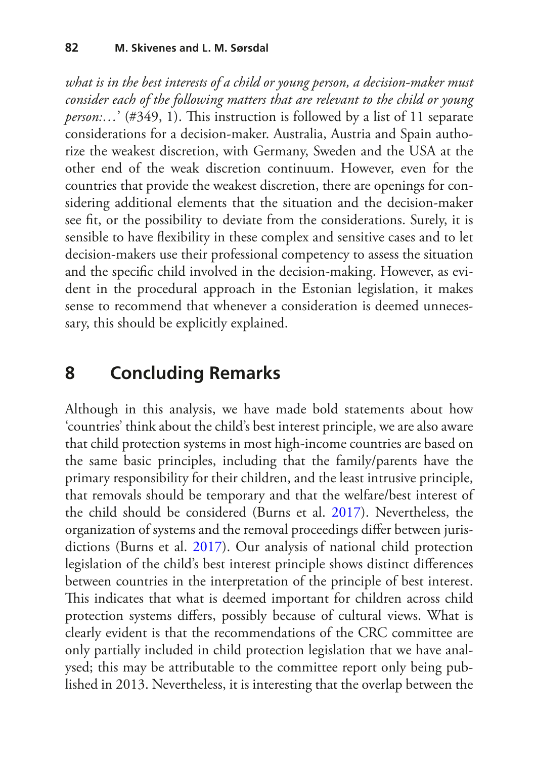*what is in the best interests of a child or young person, a decision-maker must consider each of the following matters that are relevant to the child or young person*:...' (#349, 1). This instruction is followed by a list of 11 separate considerations for a decision-maker. Australia, Austria and Spain authorize the weakest discretion, with Germany, Sweden and the USA at the other end of the weak discretion continuum. However, even for the countries that provide the weakest discretion, there are openings for considering additional elements that the situation and the decision-maker see fit, or the possibility to deviate from the considerations. Surely, it is sensible to have flexibility in these complex and sensitive cases and to let decision-makers use their professional competency to assess the situation and the specific child involved in the decision-making. However, as evident in the procedural approach in the Estonian legislation, it makes sense to recommend that whenever a consideration is deemed unnecessary, this should be explicitly explained.

## **8 Concluding Remarks**

Although in this analysis, we have made bold statements about how 'countries' think about the child's best interest principle, we are also aware that child protection systems in most high-income countries are based on the same basic principles, including that the family/parents have the primary responsibility for their children, and the least intrusive principle, that removals should be temporary and that the welfare/best interest of the child should be considered (Burns et al. [2017](#page-26-1)). Nevertheless, the organization of systems and the removal proceedings differ between jurisdictions (Burns et al. [2017](#page-26-1)). Our analysis of national child protection legislation of the child's best interest principle shows distinct differences between countries in the interpretation of the principle of best interest. This indicates that what is deemed important for children across child protection systems differs, possibly because of cultural views. What is clearly evident is that the recommendations of the CRC committee are only partially included in child protection legislation that we have analysed; this may be attributable to the committee report only being published in 2013. Nevertheless, it is interesting that the overlap between the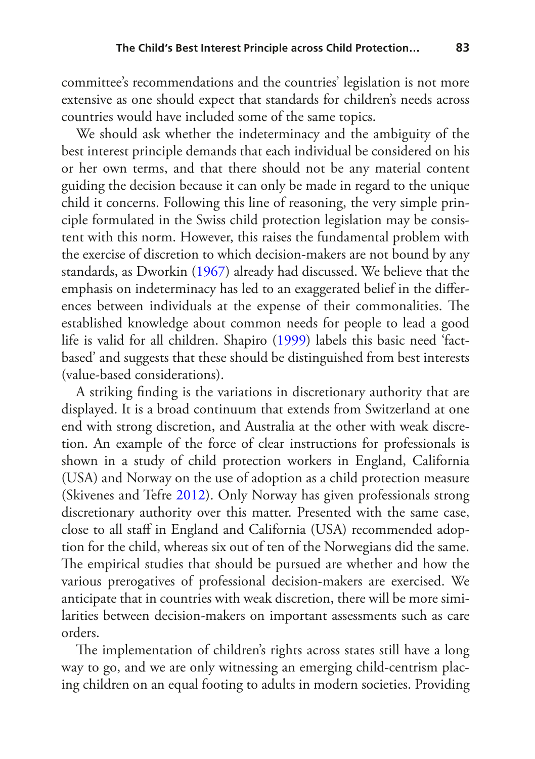committee's recommendations and the countries' legislation is not more extensive as one should expect that standards for children's needs across countries would have included some of the same topics.

We should ask whether the indeterminacy and the ambiguity of the best interest principle demands that each individual be considered on his or her own terms, and that there should not be any material content guiding the decision because it can only be made in regard to the unique child it concerns. Following this line of reasoning, the very simple principle formulated in the Swiss child protection legislation may be consistent with this norm. However, this raises the fundamental problem with the exercise of discretion to which decision-makers are not bound by any standards, as Dworkin ([1967\)](#page-26-0) already had discussed. We believe that the emphasis on indeterminacy has led to an exaggerated belief in the differences between individuals at the expense of their commonalities. The established knowledge about common needs for people to lead a good life is valid for all children. Shapiro [\(1999](#page-27-8)) labels this basic need 'factbased' and suggests that these should be distinguished from best interests (value-based considerations).

A striking finding is the variations in discretionary authority that are displayed. It is a broad continuum that extends from Switzerland at one end with strong discretion, and Australia at the other with weak discretion. An example of the force of clear instructions for professionals is shown in a study of child protection workers in England, California (USA) and Norway on the use of adoption as a child protection measure (Skivenes and Tefre [2012](#page-27-12)). Only Norway has given professionals strong discretionary authority over this matter. Presented with the same case, close to all staff in England and California (USA) recommended adoption for the child, whereas six out of ten of the Norwegians did the same. The empirical studies that should be pursued are whether and how the various prerogatives of professional decision-makers are exercised. We anticipate that in countries with weak discretion, there will be more similarities between decision-makers on important assessments such as care orders.

The implementation of children's rights across states still have a long way to go, and we are only witnessing an emerging child-centrism placing children on an equal footing to adults in modern societies. Providing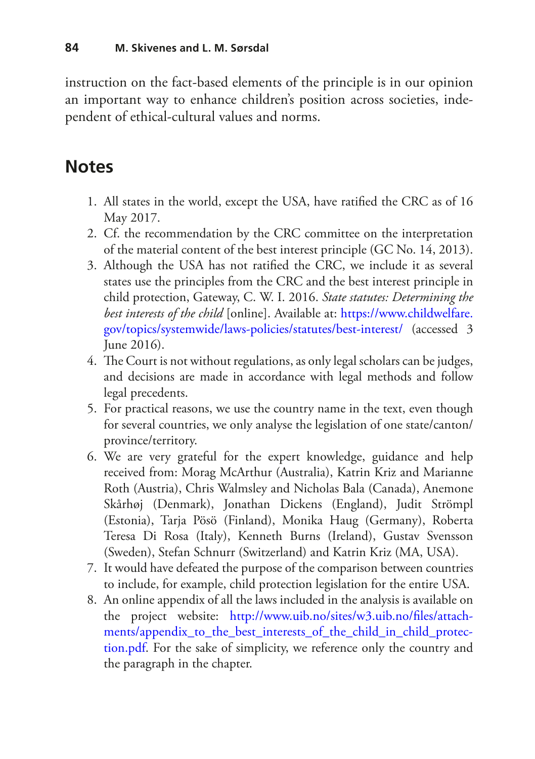instruction on the fact-based elements of the principle is in our opinion an important way to enhance children's position across societies, independent of ethical-cultural values and norms.

## **Notes**

- <span id="page-25-0"></span>1. All states in the world, except the USA, have ratified the CRC as of 16 May 2017.
- <span id="page-25-1"></span>2. Cf. the recommendation by the CRC committee on the interpretation of the material content of the best interest principle (GC No. 14, 2013).
- <span id="page-25-2"></span>3. Although the USA has not ratified the CRC, we include it as several states use the principles from the CRC and the best interest principle in child protection, Gateway, C. W. I. 2016. *State statutes: Determining the best interests of the child* [online]. Available at: [https://www.childwelfare.](https://www.childwelfare.gov/topics/systemwide/laws-policies/statutes/best-interest) [gov/topics/systemwide/laws-policies/statutes/best-interest/](https://www.childwelfare.gov/topics/systemwide/laws-policies/statutes/best-interest) (accessed 3 June 2016).
- <span id="page-25-3"></span>4. The Court is not without regulations, as only legal scholars can be judges, and decisions are made in accordance with legal methods and follow legal precedents.
- <span id="page-25-4"></span>5. For practical reasons, we use the country name in the text, even though for several countries, we only analyse the legislation of one state/canton/ province/territory.
- <span id="page-25-5"></span>6. We are very grateful for the expert knowledge, guidance and help received from: Morag McArthur (Australia), Katrin Kriz and Marianne Roth (Austria), Chris Walmsley and Nicholas Bala (Canada), Anemone Skårhøj (Denmark), Jonathan Dickens (England), Judit Strömpl (Estonia), Tarja Pösö (Finland), Monika Haug (Germany), Roberta Teresa Di Rosa (Italy), Kenneth Burns (Ireland), Gustav Svensson (Sweden), Stefan Schnurr (Switzerland) and Katrin Kriz (MA, USA).
- <span id="page-25-6"></span>7. It would have defeated the purpose of the comparison between countries to include, for example, child protection legislation for the entire USA.
- <span id="page-25-7"></span>8. An online appendix of all the laws included in the analysis is available on the project website: [http://www.uib.no/sites/w3.uib.no/files/attach](http://www.uib.no/sites/w3.uib.no/files/attachments/appendix_to_the_best_interests_of_the_child_in_child_protection.pdf)[ments/appendix\\_to\\_the\\_best\\_interests\\_of\\_the\\_child\\_in\\_child\\_protec](http://www.uib.no/sites/w3.uib.no/files/attachments/appendix_to_the_best_interests_of_the_child_in_child_protection.pdf)[tion.pdf](http://www.uib.no/sites/w3.uib.no/files/attachments/appendix_to_the_best_interests_of_the_child_in_child_protection.pdf). For the sake of simplicity, we reference only the country and the paragraph in the chapter.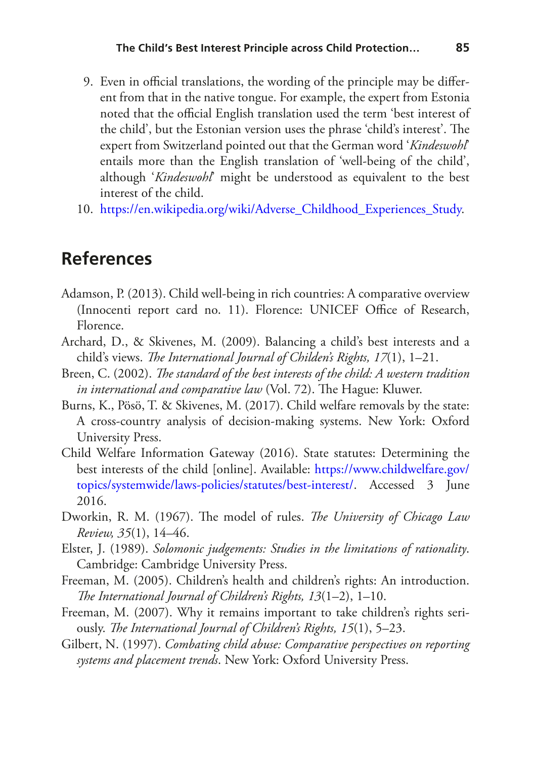- <span id="page-26-9"></span>9. Even in official translations, the wording of the principle may be different from that in the native tongue. For example, the expert from Estonia noted that the official English translation used the term 'best interest of the child', but the Estonian version uses the phrase 'child's interest'. The expert from Switzerland pointed out that the German word '*Kindeswohl*' entails more than the English translation of 'well-being of the child', although '*Kindeswohl*' might be understood as equivalent to the best interest of the child.
- <span id="page-26-10"></span>10. [https://en.wikipedia.org/wiki/Adverse\\_Childhood\\_Experiences\\_Study.](https://en.wikipedia.org/wiki/Adverse_Childhood_Experiences_Study)

## **References**

- <span id="page-26-8"></span>Adamson, P. (2013). Child well-being in rich countries: A comparative overview (Innocenti report card no. 11). Florence: UNICEF Office of Research, Florence.
- <span id="page-26-6"></span>Archard, D., & Skivenes, M. (2009). Balancing a child's best interests and a child's views. *The International Journal of Childen's Rights, 17*(1), 1–21.
- <span id="page-26-2"></span>Breen, C. (2002). *The standard of the best interests of the child: A western tradition in international and comparative law* (Vol. 72). The Hague: Kluwer.
- <span id="page-26-1"></span>Burns, K., Pösö, T. & Skivenes, M. (2017). Child welfare removals by the state: A cross-country analysis of decision-making systems. New York: Oxford University Press.
- <span id="page-26-11"></span>Child Welfare Information Gateway (2016). State statutes: Determining the best interests of the child [online]. Available: [https://www.childwelfare.gov/](https://www.childwelfare.gov/topics/systemwide/laws-policies/statutes/best-interest/) [topics/systemwide/laws-policies/statutes/best-interest/](https://www.childwelfare.gov/topics/systemwide/laws-policies/statutes/best-interest/). Accessed 3 June 2016.
- <span id="page-26-0"></span>Dworkin, R. M. (1967). The model of rules. *The University of Chicago Law Review, 35*(1), 14–46.
- <span id="page-26-3"></span>Elster, J. (1989). *Solomonic judgements: Studies in the limitations of rationality*. Cambridge: Cambridge University Press.
- <span id="page-26-4"></span>Freeman, M. (2005). Children's health and children's rights: An introduction. *The International Journal of Children's Rights, 13*(1–2), 1–10.
- <span id="page-26-5"></span>Freeman, M. (2007). Why it remains important to take children's rights seriously. *The International Journal of Children's Rights, 15*(1), 5–23.
- <span id="page-26-7"></span>Gilbert, N. (1997). *Combating child abuse: Comparative perspectives on reporting systems and placement trends*. New York: Oxford University Press.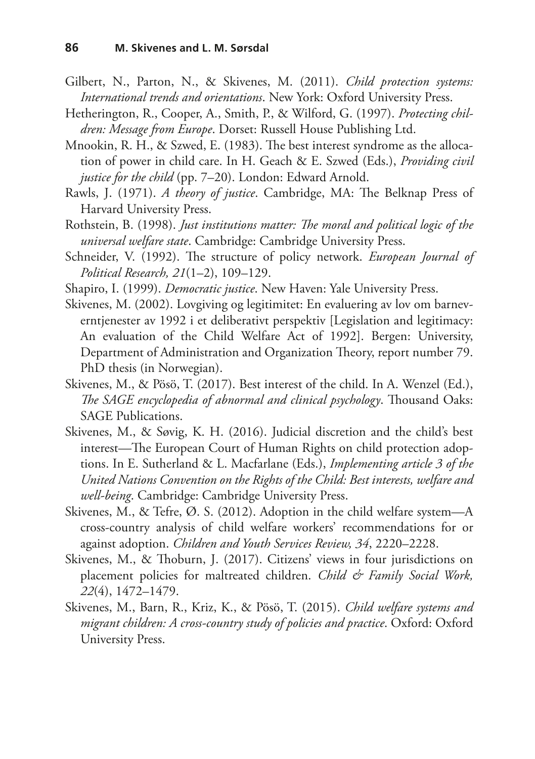- <span id="page-27-0"></span>Gilbert, N., Parton, N., & Skivenes, M. (2011). *Child protection systems: International trends and orientations*. New York: Oxford University Press.
- <span id="page-27-9"></span>Hetherington, R., Cooper, A., Smith, P., & Wilford, G. (1997). *Protecting children: Message from Europe*. Dorset: Russell House Publishing Ltd.
- <span id="page-27-3"></span>Mnookin, R. H., & Szwed, E. (1983). The best interest syndrome as the allocation of power in child care. In H. Geach & E. Szwed (Eds.), *Providing civil justice for the child* (pp. 7–20). London: Edward Arnold.
- <span id="page-27-7"></span>Rawls, J. (1971). *A theory of justice*. Cambridge, MA: The Belknap Press of Harvard University Press.
- <span id="page-27-4"></span>Rothstein, B. (1998). *Just institutions matter: The moral and political logic of the universal welfare state*. Cambridge: Cambridge University Press.
- <span id="page-27-5"></span>Schneider, V. (1992). The structure of policy network. *European Journal of Political Research, 21*(1–2), 109–129.
- <span id="page-27-8"></span>Shapiro, I. (1999). *Democratic justice*. New Haven: Yale University Press.
- <span id="page-27-1"></span>Skivenes, M. (2002). Lovgiving og legitimitet: En evaluering av lov om barneverntjenester av 1992 i et deliberativt perspektiv [Legislation and legitimacy: An evaluation of the Child Welfare Act of 1992]. Bergen: University, Department of Administration and Organization Theory, report number 79. PhD thesis (in Norwegian).
- <span id="page-27-2"></span>Skivenes, M., & Pösö, T. (2017). Best interest of the child. In A. Wenzel (Ed.), *The SAGE encyclopedia of abnormal and clinical psychology*. Thousand Oaks: SAGE Publications.
- <span id="page-27-6"></span>Skivenes, M., & Søvig, K. H. (2016). Judicial discretion and the child's best interest—The European Court of Human Rights on child protection adoptions. In E. Sutherland & L. Macfarlane (Eds.), *Implementing article 3 of the United Nations Convention on the Rights of the Child: Best interests, welfare and well-being*. Cambridge: Cambridge University Press.
- <span id="page-27-12"></span>Skivenes, M., & Tefre, Ø. S. (2012). Adoption in the child welfare system—A cross-country analysis of child welfare workers' recommendations for or against adoption. *Children and Youth Services Review, 34*, 2220–2228.
- <span id="page-27-11"></span>Skivenes, M., & Thoburn, J. (2017). Citizens' views in four jurisdictions on placement policies for maltreated children. *Child & Family Social Work, 22*(4), 1472–1479.
- <span id="page-27-10"></span>Skivenes, M., Barn, R., Kriz, K., & Pösö, T. (2015). *Child welfare systems and migrant children: A cross-country study of policies and practice*. Oxford: Oxford University Press.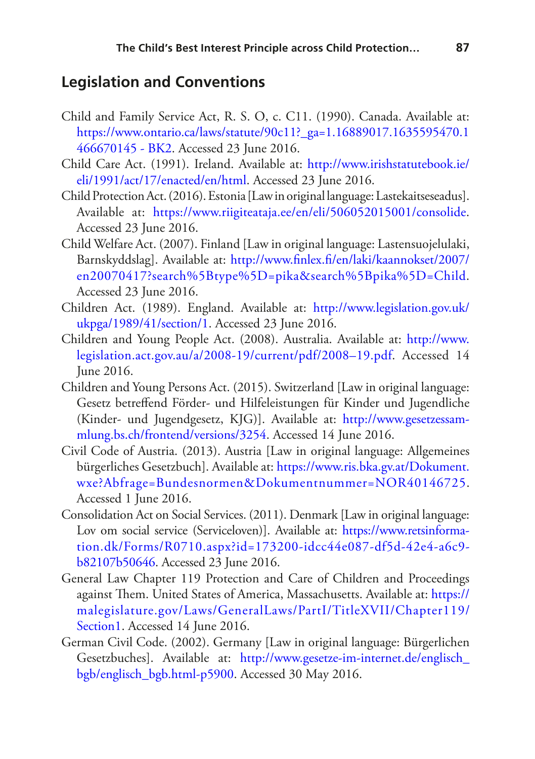#### **Legislation and Conventions**

- <span id="page-28-2"></span>Child and Family Service Act, R. S. O, c. C11. (1990). Canada. Available at: [https://www.ontario.ca/laws/statute/90c11?\\_ga=1.16889017.1635595470.1](https://www.ontario.ca/laws/statute/90c11?_ga=1.16889017.1635595470.1466670145 - BK2) [466670145 - BK2.](https://www.ontario.ca/laws/statute/90c11?_ga=1.16889017.1635595470.1466670145 - BK2) Accessed 23 June 2016.
- <span id="page-28-8"></span>Child Care Act. (1991). Ireland. Available at: [http://www.irishstatutebook.ie/](http://www.irishstatutebook.ie/eli/1991/act/17/enacted/en/html) [eli/1991/act/17/enacted/en/html](http://www.irishstatutebook.ie/eli/1991/act/17/enacted/en/html). Accessed 23 June 2016.
- <span id="page-28-5"></span>Child Protection Act. (2016). Estonia [Law in original language: Lastekaitseseadus]. Available at: [https://www.riigiteataja.ee/en/eli/506052015001/consolide.](https://www.riigiteataja.ee/en/eli/506052015001/consolide) Accessed 23 June 2016.
- <span id="page-28-6"></span>Child Welfare Act. (2007). Finland [Law in original language: Lastensuojelulaki, Barnskyddslag]. Available at: [http://www.finlex.fi/en/laki/kaannokset/2007/](http://www.finlex.fi/en/laki/kaannokset/2007/en20070417?search[type]=pika&search[pika]=Child) [en20070417?search%5Btype%5D=pika&search%5Bpika%5D=Child.](http://www.finlex.fi/en/laki/kaannokset/2007/en20070417?search[type]=pika&search[pika]=Child) Accessed 23 June 2016.
- <span id="page-28-4"></span>Children Act. (1989). England. Available at: [http://www.legislation.gov.uk/](http://www.legislation.gov.uk/ukpga/1989/41/section/1) [ukpga/1989/41/section/1.](http://www.legislation.gov.uk/ukpga/1989/41/section/1) Accessed 23 June 2016.
- <span id="page-28-0"></span>Children and Young People Act. (2008). Australia. Available at: [http://www.](http://www.legislation.act.gov.au/a/2008-19/current/pdf/2008-19.pdf) [legislation.act.gov.au/a/2008-19/current/pdf/2008–19.pdf.](http://www.legislation.act.gov.au/a/2008-19/current/pdf/2008-19.pdf) Accessed 14 June 2016.
- <span id="page-28-9"></span>Children and Young Persons Act. (2015). Switzerland [Law in original language: Gesetz betreffend Förder- und Hilfeleistungen für Kinder und Jugendliche (Kinder- und Jugendgesetz, KJG)]. Available at: [http://www.gesetzessam](http://www.gesetzessammlung.bs.ch/frontend/versions/3254)[mlung.bs.ch/frontend/versions/3254.](http://www.gesetzessammlung.bs.ch/frontend/versions/3254) Accessed 14 June 2016.
- <span id="page-28-1"></span>Civil Code of Austria. (2013). Austria [Law in original language: Allgemeines bürgerliches Gesetzbuch]. Available at: [https://www.ris.bka.gv.at/Dokument.](https://www.ris.bka.gv.at/Dokument.wxe?Abfrage=Bundesnormen&Dokumentnummer=NOR40146725) [wxe?Abfrage=Bundesnormen&Dokumentnummer=NOR40146725](https://www.ris.bka.gv.at/Dokument.wxe?Abfrage=Bundesnormen&Dokumentnummer=NOR40146725). Accessed 1 June 2016.
- <span id="page-28-3"></span>Consolidation Act on Social Services. (2011). Denmark [Law in original language: Lov om social service (Serviceloven)]. Available at: [https://www.retsinforma](https://www.retsinformation.dk/Forms/R0710.aspx?id=173200-idcc44e087-df5d-42e4-a6c9-b82107b50646)[tion.dk/Forms/R0710.aspx?id=173200-idcc44e087-df5d-42e4-a6c9](https://www.retsinformation.dk/Forms/R0710.aspx?id=173200-idcc44e087-df5d-42e4-a6c9-b82107b50646) [b82107b50646.](https://www.retsinformation.dk/Forms/R0710.aspx?id=173200-idcc44e087-df5d-42e4-a6c9-b82107b50646) Accessed 23 June 2016.
- General Law Chapter 119 Protection and Care of Children and Proceedings against Them. United States of America, Massachusetts. Available at: [https://](https://malegislature.gov/Laws/GeneralLaws/PartI/TitleXVII/Chapter119/Section1) [malegislature.gov/Laws/GeneralLaws/PartI/TitleXVII/Chapter119/](https://malegislature.gov/Laws/GeneralLaws/PartI/TitleXVII/Chapter119/Section1) [Section1](https://malegislature.gov/Laws/GeneralLaws/PartI/TitleXVII/Chapter119/Section1). Accessed 14 June 2016.
- <span id="page-28-7"></span>German Civil Code. (2002). Germany [Law in original language: Bürgerlichen Gesetzbuches]. Available at: [http://www.gesetze-im-internet.de/englisch\\_](http://www.gesetze-im-internet.de/englisch_bgb/englisch_bgb.html-p5900) [bgb/englisch\\_bgb.html-p5900.](http://www.gesetze-im-internet.de/englisch_bgb/englisch_bgb.html-p5900) Accessed 30 May 2016.